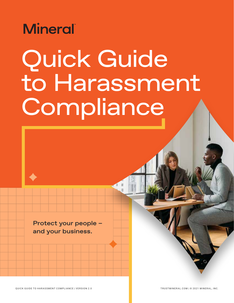

# Quick Guide to Harassment Compliance

Protect your people – and your business.

OULCK GUIDE TO HARASSMENT COMPLIANCE I VERSION 2.0 TRUST COMPLIST TRUSTMINERAL.COM L© 2021 MINERAL, INC.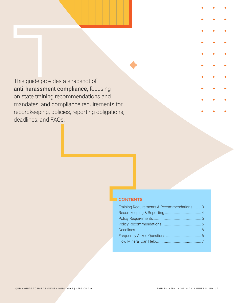This guide provides a snapshot of anti-harassment compliance, focusing on state training recommendations and mandates, and compliance requirements for recordkeeping, policies, reporting obligations, deadlines, and FAQs.

#### **CONTENTS**

| Training Requirements & Recommendations 3 |  |
|-------------------------------------------|--|
|                                           |  |
|                                           |  |
|                                           |  |
|                                           |  |
|                                           |  |
|                                           |  |
|                                           |  |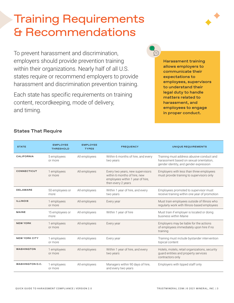# <span id="page-2-0"></span>Training Requirements & Recommendations

To prevent harassment and discrimination, employers should provide prevention training within their organizations. Nearly half of all U.S. states require or recommend employers to provide harassment and discrimination prevention training.

Each state has specific requirements on training content, recordkeeping, mode of delivery, and timing.



Harassment training allows employers to communicate their expectations to employees, supervisors to understand their legal duty to handle matters related to harassment, and employees to engage in proper conduct.

 $\bar{\text{}}$ 

| <b>STATE</b>           | <b>EMPLOYEE</b><br><b>THRESHOLD</b> | <b>EMPLOYEE</b><br><b>TYPES</b> | <b>FREQUENCY</b>                                                                                                           | UNIQUE REQUIREMENTS                                                                                                            |
|------------------------|-------------------------------------|---------------------------------|----------------------------------------------------------------------------------------------------------------------------|--------------------------------------------------------------------------------------------------------------------------------|
| <b>CALIFORNIA</b>      | 5 employees<br>or more              | All employees                   | Within 6 months of hire, and every<br>two years                                                                            | Training must address abusive conduct and<br>harassment based on sexual orientation.<br>gender identity, and gender expression |
| <b>CONNECTICUT</b>     | 1 employees<br>or more              | All employees                   | Every two years, new supervisors<br>within 6 months of hire, new<br>employees within 1 year of hire,<br>then every 2 years | Employers with less than three employees<br>must provide training to supervisors only                                          |
| <b>DELAWARE</b>        | 50 employees or<br>more             | All employees                   | Within 1 year of hire, and every<br>two years                                                                              | Employees promoted to supervisor must<br>receive training within one year of promotion                                         |
| <b>ILLINOIS</b>        | 1 employees<br>or more              | All employees                   | Every year                                                                                                                 | Must train employees outside of Illinois who<br>regularly work with Illinois-based employees                                   |
| <b>MAINE</b>           | 15 employees or<br>more             | All employees                   | Within 1 year of hire                                                                                                      | Must train if employer is located or doing<br>business within Maine                                                            |
| <b>NEW YORK</b>        | 1 employees<br>or more              | All employees                   | Every year                                                                                                                 | Employers may be liable for the actions<br>of employees immediately upon hire if no<br>training                                |
| <b>NEW YORK CITY</b>   | 1 employees<br>or more              | All employees                   | Every year                                                                                                                 | Training must include bystander intervention<br>topical content                                                                |
| <b>WASHINGTON</b>      | 1 employees<br>or more              | All employees                   | Within 1 year of hire, and every<br>two years                                                                              | Hotels, motels, retail organizations, security<br>quard entities and property services<br>contractors only                     |
| <b>WASHINGTON D.C.</b> | 1 employees<br>or more              | All employees                   | Managers within 90 days of hire,<br>and every two years                                                                    | Employers with tipped staff only                                                                                               |

#### States That Require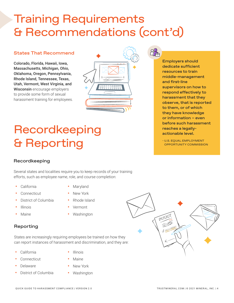# <span id="page-3-0"></span>Training Requirements & Recommendations (cont'd)

#### States That Recommend

Colorado, Florida, Hawaii, Iowa, Massachusetts, Michigan, Ohio, Oklahoma, Oregon, Pennsylvania, Rhode Island, Tennessee, Texas, Utah, Vermont, West Virginia, and Wisconsin encourage employers to provide some form of sexual harassment training for employees.



# Recordkeeping & Reporting

#### Recordkeeping

Several states and localities require you to keep records of your training efforts, such as employee name, role, and course completion:

- **•** California
- **•** Maryland
- **•** Connecticut
- **•** District of Columbia
- **•** Illinois
- **•** Maine
- **•** New York
- **•** Rhode Island
	- **•** Vermont
- **•** Washington

#### Reporting

States are increasingly requiring employees be trained on how they can report instances of harassment and discrimination, and they are:

**•** California

- **•** Illinois
- **•** Connecticut
- **•** Delaware
- **•** District of Columbia
- **•** Maine
- **•** New York
- **•** Washington



Employers should dedicate sufficient resources to train middle-management and first-line supervisors on how to respond effectively to harassment that they observe, that is reported to them, or of which they have knowledge or information – even before such harassment reaches a legallyactionable level.

- U.S. EQUAL EMPLOYMENT OPPORTUNITY COMMISSION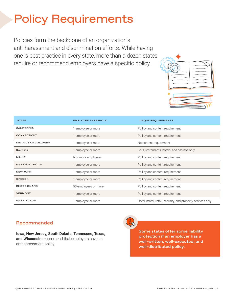# <span id="page-4-0"></span>Policy Requirements

Policies form the backbone of an organization's anti-harassment and discrimination efforts. While having one is best practice in every state, more than a dozen states require or recommend employers have a specific policy.



| <b>STATE</b>                | <b>EMPLOYEE THRESHOLD</b> | UNIQUE REQUIREMENTS                                        |
|-----------------------------|---------------------------|------------------------------------------------------------|
| <b>CALIFORNIA</b>           | 1 employee or more        | Pollicy and content requirement                            |
| <b>CONNECTICUT</b>          | 1 employee or more        | Pollicy and content requirement                            |
| <b>DISTRICT OF COLUMBIA</b> | 1 employee or more        | No content requirement                                     |
| <b>ILLINOIS</b>             | 1 employee or more        | Bars, restaurants, hotels, and casinos only                |
| MAINE                       | 6 or more employees       | Pollicy and content requirement                            |
| <b>MASSACHUSETTS</b>        | 1 employee or more        | Pollicy and content requirement                            |
| <b>NEW YORK</b>             | 1 employee or more        | Pollicy and content requirement                            |
| <b>OREGON</b>               | 1 employee or more        | Pollicy and content requirement                            |
| <b>RHODE ISLAND</b>         | 50 employees or more      | Pollicy and content requirement                            |
| <b>VERMONT</b>              | 1 employee or more        | Pollicy and content requirement                            |
| <b>WASHINGTON</b>           | 1 employee or more        | Hotel, motel, retail, security, and property services only |

#### Recommended

**Iowa, New Jersey, South Dakota, Tennessee, Texas, and Wisconsin** recommend that employers have an anti-harassment policy.



Some states offer some liability protection if an employer has a well-written, well-executed, and well-distributed policy.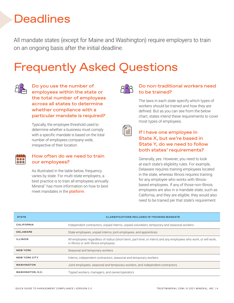# <span id="page-5-0"></span>**Deadlines**

All mandate states (except for Maine and Washington) require employers to train on an ongoing basis after the initial deadline.

# Frequently Asked Questions



Do you use the number of employees within the state or the total number of employees across all states to determine whether compliance with a particular mandate is required?

Typically, the employee threshold used to determine whether a business must comply with a specific mandate is based on the total number of employees company-wide, irrespective of their location.



#### How often do we need to train our employees?

As illustrated in the table below, frequency varies by state. For multi-state employers, a best practice is to train all employees annually. Mineral™ has more information on how to best meet mandates in the [platform](https://trustmineral.com/products/mineral-platform/).



#### Do non-traditional workers need to be trained?

The laws in each state specify which types of workers should be trained and how they are defined. But as you can see from the below chart, states intend these requirements to cover most types of employees.

#### If I have one employee in State X, but we're based in State Y, do we need to follow both states' requirements?

Generally, yes. However, you need to look at each state's eligibility rules. For example, Delaware requires training employees located in the state, whereas Illinois requires training for any employee who works with Illinoisbased employees. If any of those non-Illinois employees are also in a mandate state, such as California, and they are eligible, they would also need to be trained per that state's requirement.

| <b>STATE</b>         | <b>CLASSIFICATIONS INCLUDED IN TRAINING MANDATE</b>                                                                                                       |
|----------------------|-----------------------------------------------------------------------------------------------------------------------------------------------------------|
| <b>CALIFORNIA</b>    | Independent contractors, unpaid interns, unpaid volunteers, temporary and seasonal workers                                                                |
| <b>DELAWARE</b>      | State employees, unpaid interns, joint employees, and apprentices                                                                                         |
| <b>ILLINOIS</b>      | All employees regardless of status (short-term, part-time, or intern) and any employees who work, or will work,<br>in Illinois or with Illinois employees |
| <b>NEW YORK</b>      | Seasonal and temporary workers                                                                                                                            |
| <b>NEW YORK CITY</b> | Interns, independent contractors, seasonal and temporary workers                                                                                          |
| <b>WASHINGTON</b>    | Joint employees, seasonal and temporary workers, and independent contractors                                                                              |
| WASHINGTON, D.C.     | Tipped workers, managers, and owner/operators                                                                                                             |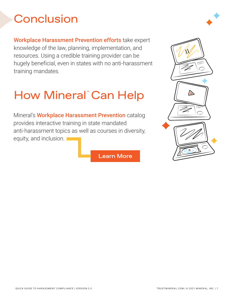# <span id="page-6-0"></span>**Conclusion**

[Workplace Harassment Prevention efforts](https://trustmineral.com/products/workplace-harassment-prevention/) take expert knowledge of the law, planning, implementation, and resources. Using a credible training provider can be hugely beneficial, even in states with no anti-harassment training mandates.

# How Mineral™ Can Help

Mineral's [Workplace Harassment Prevention](https://trustmineral.com/products/workplace-harassment-prevention/) catalog provides interactive training in state mandated anti-harassment topics as well as courses in diversity, equity, and inclusion.

[Learn More](https://trustmineral.com/products/workplace-harassment-prevention/)